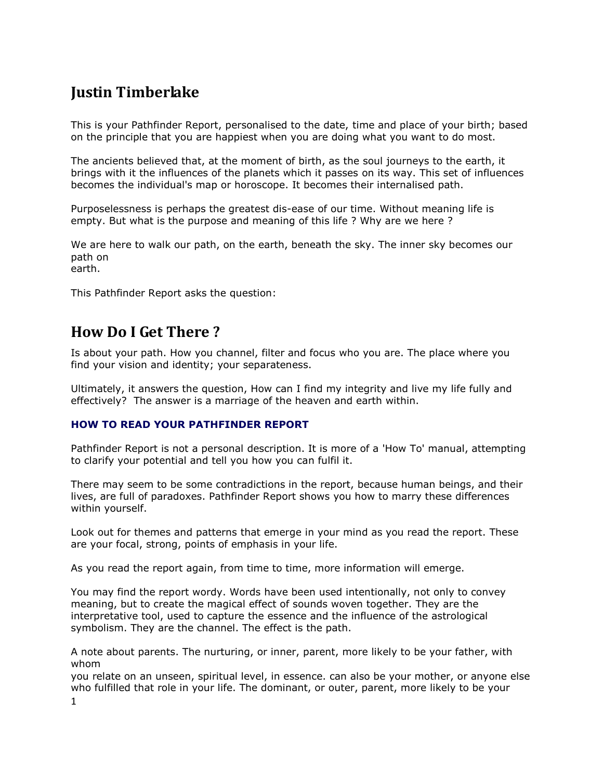# **Justin Timberlake**

This is your Pathfinder Report, personalised to the date, time and place of your birth; based on the principle that you are happiest when you are doing what you want to do most.

The ancients believed that, at the moment of birth, as the soul journeys to the earth, it brings with it the influences of the planets which it passes on its way. This set of influences becomes the individual's map or horoscope. It becomes their internalised path.

Purposelessness is perhaps the greatest dis-ease of our time. Without meaning life is empty. But what is the purpose and meaning of this life ? Why are we here ?

We are here to walk our path, on the earth, beneath the sky. The inner sky becomes our path on

earth.

This Pathfinder Report asks the question:

## **How Do I Get There ?**

Is about your path. How you channel, filter and focus who you are. The place where you find your vision and identity; your separateness.

Ultimately, it answers the question, How can I find my integrity and live my life fully and effectively? The answer is a marriage of the heaven and earth within.

#### **HOW TO READ YOUR PATHFINDER REPORT**

Pathfinder Report is not a personal description. It is more of a 'How To' manual, attempting to clarify your potential and tell you how you can fulfil it.

There may seem to be some contradictions in the report, because human beings, and their lives, are full of paradoxes. Pathfinder Report shows you how to marry these differences within yourself.

Look out for themes and patterns that emerge in your mind as you read the report. These are your focal, strong, points of emphasis in your life.

As you read the report again, from time to time, more information will emerge.

You may find the report wordy. Words have been used intentionally, not only to convey meaning, but to create the magical effect of sounds woven together. They are the interpretative tool, used to capture the essence and the influence of the astrological symbolism. They are the channel. The effect is the path.

A note about parents. The nurturing, or inner, parent, more likely to be your father, with whom

you relate on an unseen, spiritual level, in essence. can also be your mother, or anyone else who fulfilled that role in your life. The dominant, or outer, parent, more likely to be your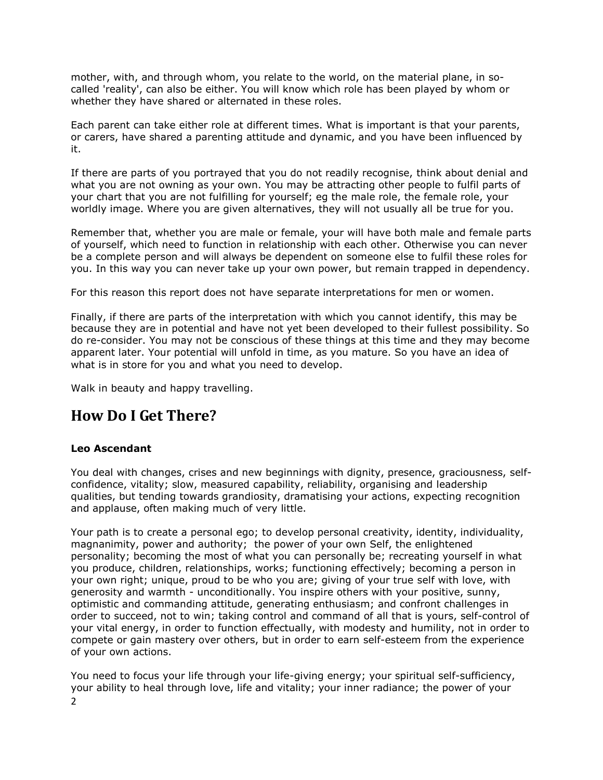mother, with, and through whom, you relate to the world, on the material plane, in socalled 'reality', can also be either. You will know which role has been played by whom or whether they have shared or alternated in these roles.

Each parent can take either role at different times. What is important is that your parents, or carers, have shared a parenting attitude and dynamic, and you have been influenced by it.

If there are parts of you portrayed that you do not readily recognise, think about denial and what you are not owning as your own. You may be attracting other people to fulfil parts of your chart that you are not fulfilling for yourself; eg the male role, the female role, your worldly image. Where you are given alternatives, they will not usually all be true for you.

Remember that, whether you are male or female, your will have both male and female parts of yourself, which need to function in relationship with each other. Otherwise you can never be a complete person and will always be dependent on someone else to fulfil these roles for you. In this way you can never take up your own power, but remain trapped in dependency.

For this reason this report does not have separate interpretations for men or women.

Finally, if there are parts of the interpretation with which you cannot identify, this may be because they are in potential and have not yet been developed to their fullest possibility. So do re-consider. You may not be conscious of these things at this time and they may become apparent later. Your potential will unfold in time, as you mature. So you have an idea of what is in store for you and what you need to develop.

Walk in beauty and happy travelling.

# **How Do I Get There?**

#### **Leo Ascendant**

You deal with changes, crises and new beginnings with dignity, presence, graciousness, selfconfidence, vitality; slow, measured capability, reliability, organising and leadership qualities, but tending towards grandiosity, dramatising your actions, expecting recognition and applause, often making much of very little.

Your path is to create a personal ego; to develop personal creativity, identity, individuality, magnanimity, power and authority; the power of your own Self, the enlightened personality; becoming the most of what you can personally be; recreating yourself in what you produce, children, relationships, works; functioning effectively; becoming a person in your own right; unique, proud to be who you are; giving of your true self with love, with generosity and warmth - unconditionally. You inspire others with your positive, sunny, optimistic and commanding attitude, generating enthusiasm; and confront challenges in order to succeed, not to win; taking control and command of all that is yours, self-control of your vital energy, in order to function effectually, with modesty and humility, not in order to compete or gain mastery over others, but in order to earn self-esteem from the experience of your own actions.

You need to focus your life through your life-giving energy; your spiritual self-sufficiency, your ability to heal through love, life and vitality; your inner radiance; the power of your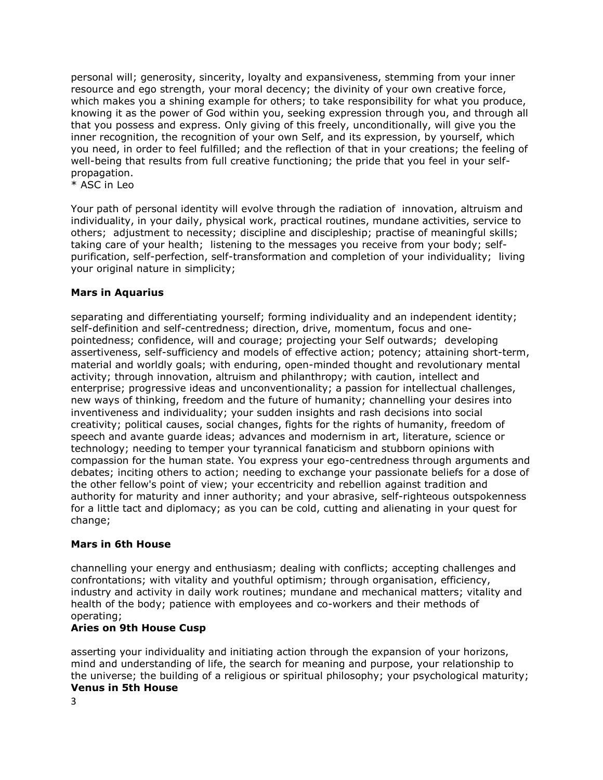personal will; generosity, sincerity, loyalty and expansiveness, stemming from your inner resource and ego strength, your moral decency; the divinity of your own creative force, which makes you a shining example for others; to take responsibility for what you produce, knowing it as the power of God within you, seeking expression through you, and through all that you possess and express. Only giving of this freely, unconditionally, will give you the inner recognition, the recognition of your own Self, and its expression, by yourself, which you need, in order to feel fulfilled; and the reflection of that in your creations; the feeling of well-being that results from full creative functioning; the pride that you feel in your selfpropagation.

\* ASC in Leo

Your path of personal identity will evolve through the radiation of innovation, altruism and individuality, in your daily, physical work, practical routines, mundane activities, service to others; adjustment to necessity; discipline and discipleship; practise of meaningful skills; taking care of your health; listening to the messages you receive from your body; selfpurification, self-perfection, self-transformation and completion of your individuality; living your original nature in simplicity;

### **Mars in Aquarius**

separating and differentiating yourself; forming individuality and an independent identity; self-definition and self-centredness; direction, drive, momentum, focus and onepointedness; confidence, will and courage; projecting your Self outwards; developing assertiveness, self-sufficiency and models of effective action; potency; attaining short-term, material and worldly goals; with enduring, open-minded thought and revolutionary mental activity; through innovation, altruism and philanthropy; with caution, intellect and enterprise; progressive ideas and unconventionality; a passion for intellectual challenges, new ways of thinking, freedom and the future of humanity; channelling your desires into inventiveness and individuality; your sudden insights and rash decisions into social creativity; political causes, social changes, fights for the rights of humanity, freedom of speech and avante guarde ideas; advances and modernism in art, literature, science or technology; needing to temper your tyrannical fanaticism and stubborn opinions with compassion for the human state. You express your ego-centredness through arguments and debates; inciting others to action; needing to exchange your passionate beliefs for a dose of the other fellow's point of view; your eccentricity and rebellion against tradition and authority for maturity and inner authority; and your abrasive, self-righteous outspokenness for a little tact and diplomacy; as you can be cold, cutting and alienating in your quest for change;

#### **Mars in 6th House**

channelling your energy and enthusiasm; dealing with conflicts; accepting challenges and confrontations; with vitality and youthful optimism; through organisation, efficiency, industry and activity in daily work routines; mundane and mechanical matters; vitality and health of the body; patience with employees and co-workers and their methods of operating;

#### **Aries on 9th House Cusp**

asserting your individuality and initiating action through the expansion of your horizons, mind and understanding of life, the search for meaning and purpose, your relationship to the universe; the building of a religious or spiritual philosophy; your psychological maturity; **Venus in 5th House**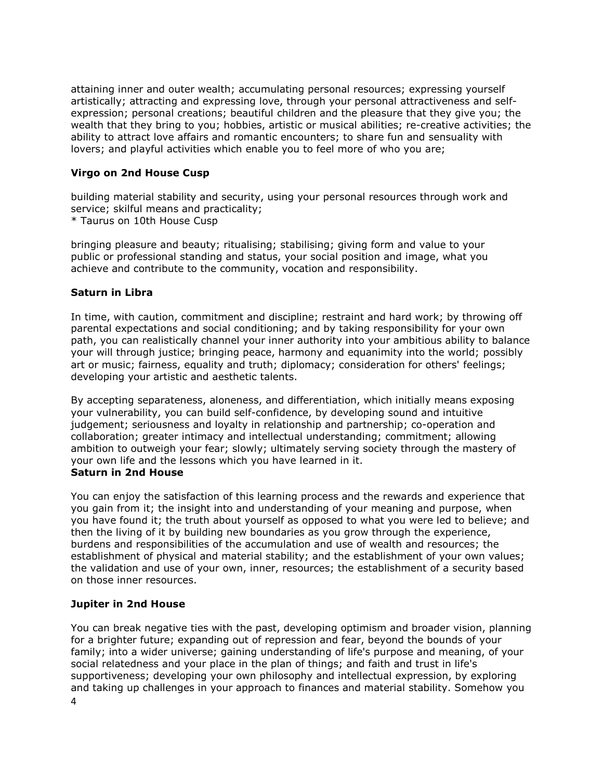attaining inner and outer wealth; accumulating personal resources; expressing yourself artistically; attracting and expressing love, through your personal attractiveness and selfexpression; personal creations; beautiful children and the pleasure that they give you; the wealth that they bring to you; hobbies, artistic or musical abilities; re-creative activities; the ability to attract love affairs and romantic encounters; to share fun and sensuality with lovers; and playful activities which enable you to feel more of who you are;

### **Virgo on 2nd House Cusp**

building material stability and security, using your personal resources through work and service; skilful means and practicality; \* Taurus on 10th House Cusp

bringing pleasure and beauty; ritualising; stabilising; giving form and value to your public or professional standing and status, your social position and image, what you achieve and contribute to the community, vocation and responsibility.

#### **Saturn in Libra**

In time, with caution, commitment and discipline; restraint and hard work; by throwing off parental expectations and social conditioning; and by taking responsibility for your own path, you can realistically channel your inner authority into your ambitious ability to balance your will through justice; bringing peace, harmony and equanimity into the world; possibly art or music; fairness, equality and truth; diplomacy; consideration for others' feelings; developing your artistic and aesthetic talents.

By accepting separateness, aloneness, and differentiation, which initially means exposing your vulnerability, you can build self-confidence, by developing sound and intuitive judgement; seriousness and loyalty in relationship and partnership; co-operation and collaboration; greater intimacy and intellectual understanding; commitment; allowing ambition to outweigh your fear; slowly; ultimately serving society through the mastery of your own life and the lessons which you have learned in it. **Saturn in 2nd House** 

You can enjoy the satisfaction of this learning process and the rewards and experience that you gain from it; the insight into and understanding of your meaning and purpose, when you have found it; the truth about yourself as opposed to what you were led to believe; and then the living of it by building new boundaries as you grow through the experience, burdens and responsibilities of the accumulation and use of wealth and resources; the establishment of physical and material stability; and the establishment of your own values; the validation and use of your own, inner, resources; the establishment of a security based on those inner resources.

#### **Jupiter in 2nd House**

4 You can break negative ties with the past, developing optimism and broader vision, planning for a brighter future; expanding out of repression and fear, beyond the bounds of your family; into a wider universe; gaining understanding of life's purpose and meaning, of your social relatedness and your place in the plan of things; and faith and trust in life's supportiveness; developing your own philosophy and intellectual expression, by exploring and taking up challenges in your approach to finances and material stability. Somehow you